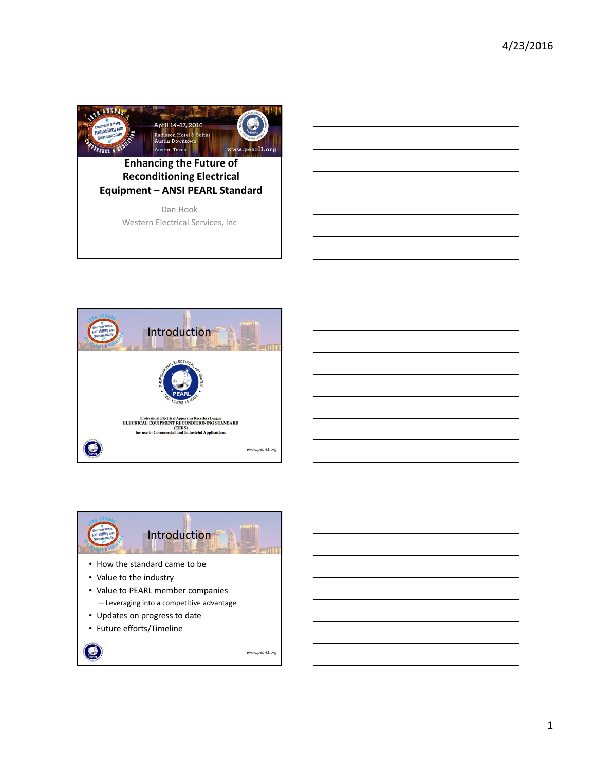





- Updates on progress to date
- Future efforts/Timeline

O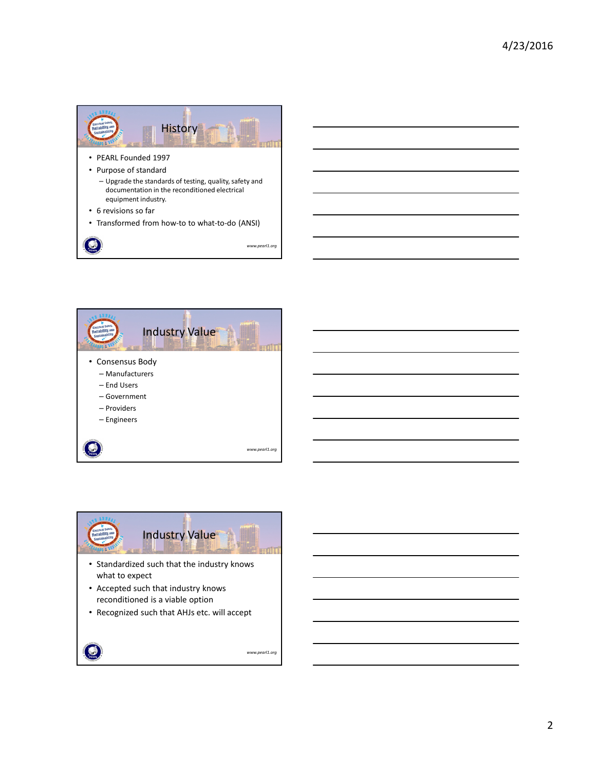



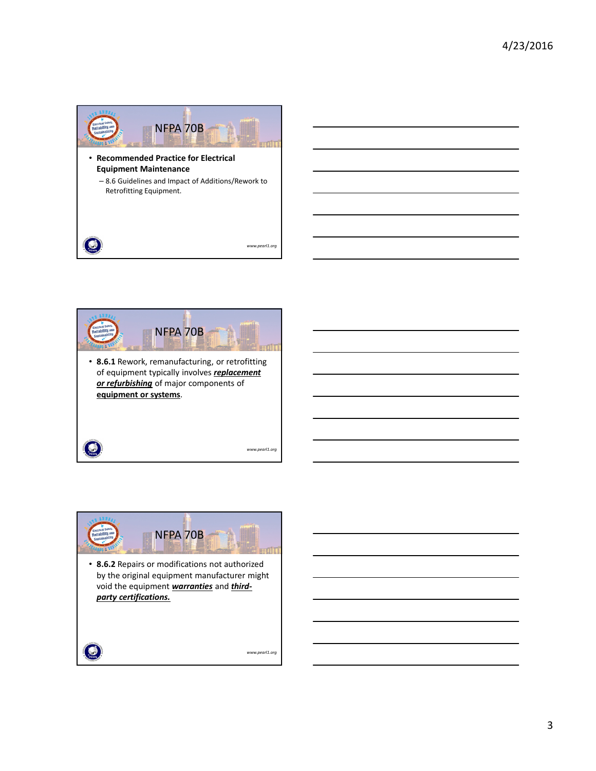





3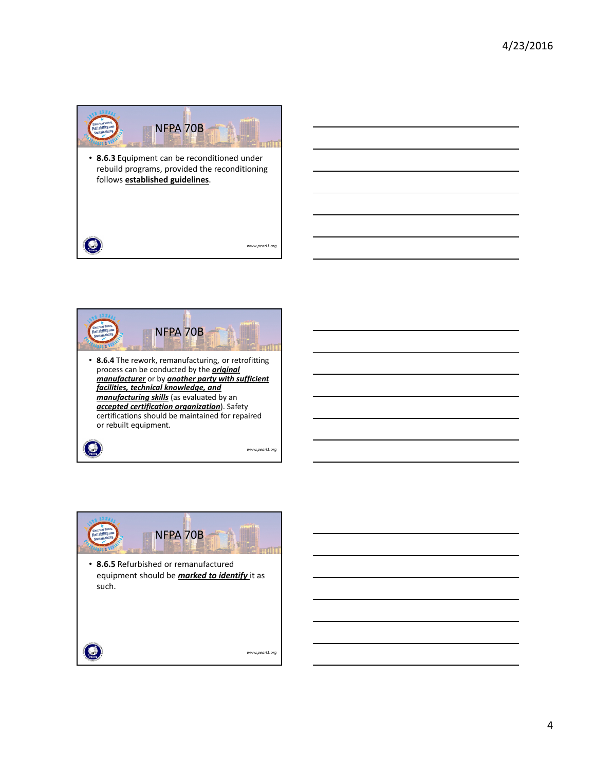





4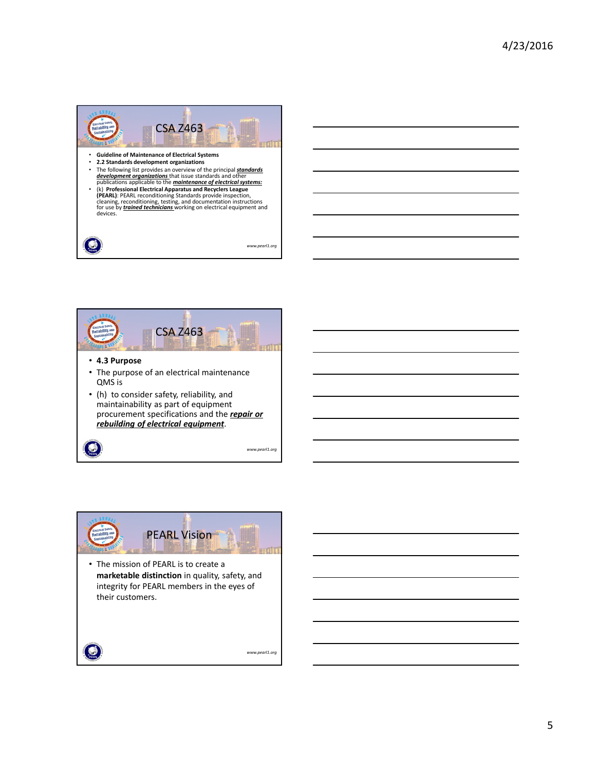



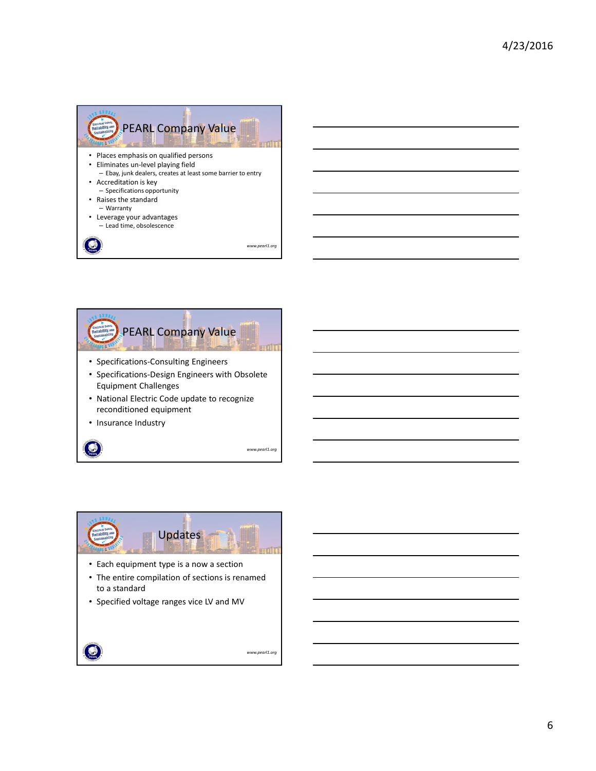





• Specified voltage ranges vice LV and MV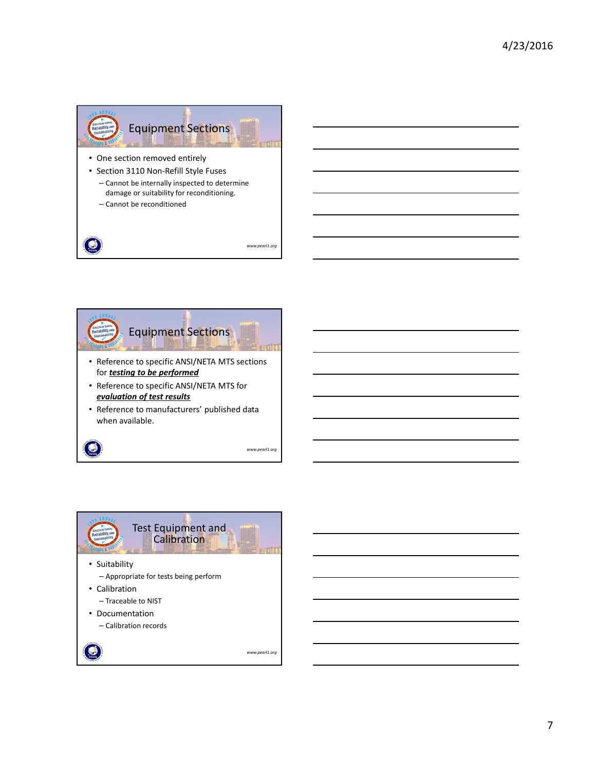



*www.pearl1.org*



7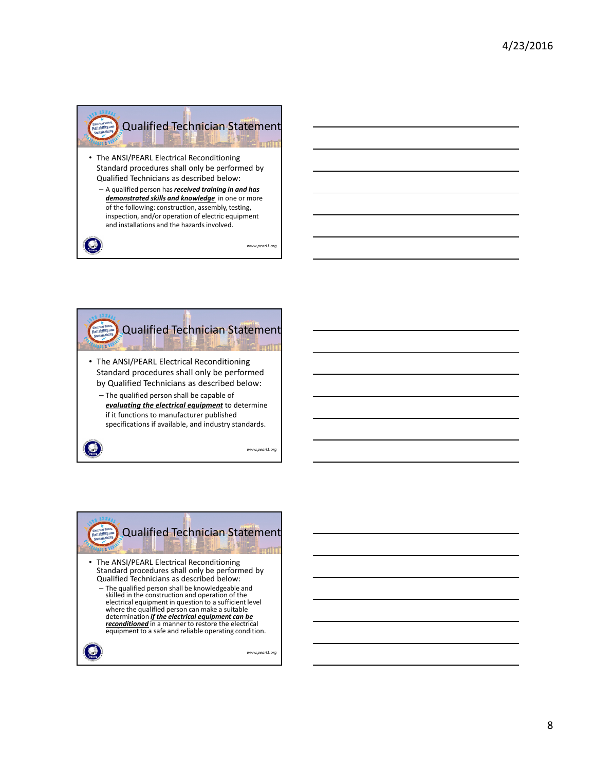![](_page_7_Picture_1.jpeg)

- The ANSI/PEARL Electrical Reconditioning Standard procedures shall only be performed by Qualified Technicians as described below:
	- A qualified person has *received training in and has demonstrated skills and knowledge* in one or more of the following: construction, assembly, testing, inspection, and/or operation of electric equipment and installations and the hazards involved.

۹

![](_page_7_Picture_5.jpeg)

![](_page_7_Picture_6.jpeg)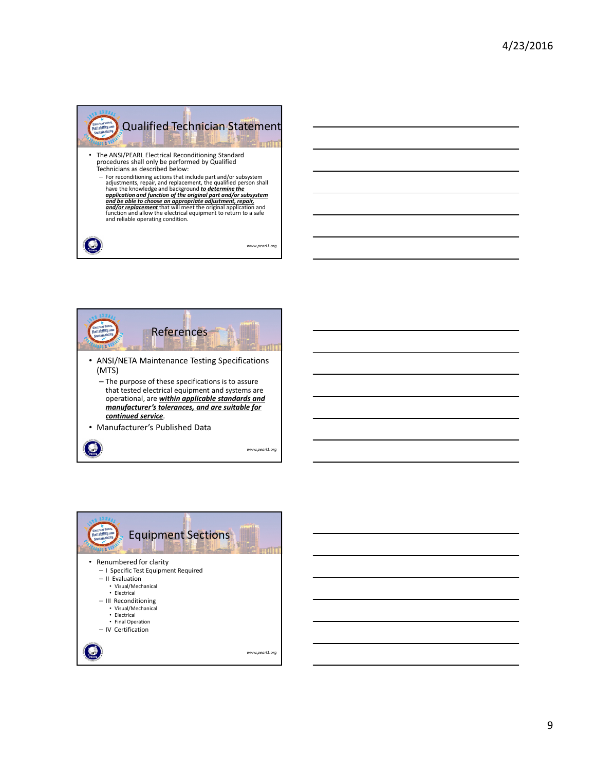![](_page_8_Picture_1.jpeg)

![](_page_8_Picture_2.jpeg)

![](_page_8_Picture_3.jpeg)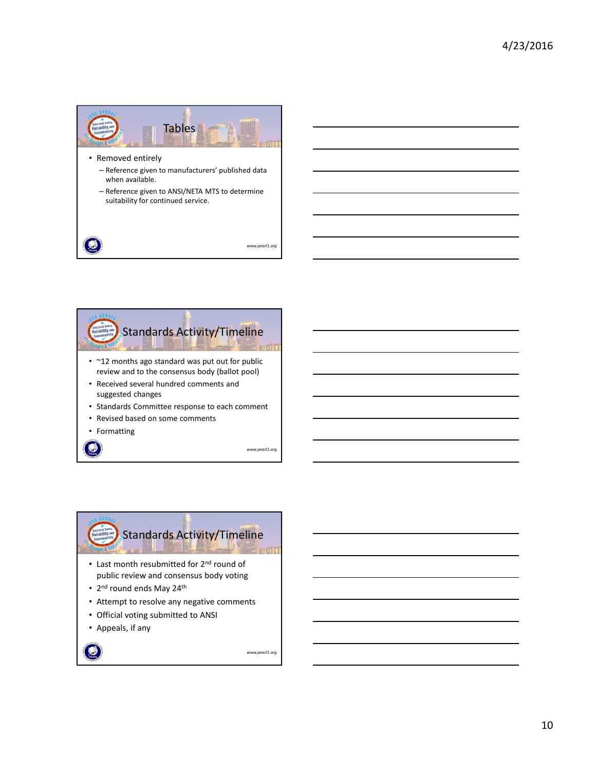![](_page_9_Picture_1.jpeg)

- Removed entirely
	- Reference given to manufacturers' published data when available.
	- Reference given to ANSI/NETA MTS to determine suitability for continued service.

*www.pearl1.org*

![](_page_9_Picture_6.jpeg)

![](_page_9_Picture_7.jpeg)

## Standards Activity/Timeline**urdin**

- Last month resubmitted for 2<sup>nd</sup> round of public review and consensus body voting
- 2<sup>nd</sup> round ends May 24<sup>th</sup>
- Attempt to resolve any negative comments
- Official voting submitted to ANSI
- Appeals, if any

*www.pearl1.org*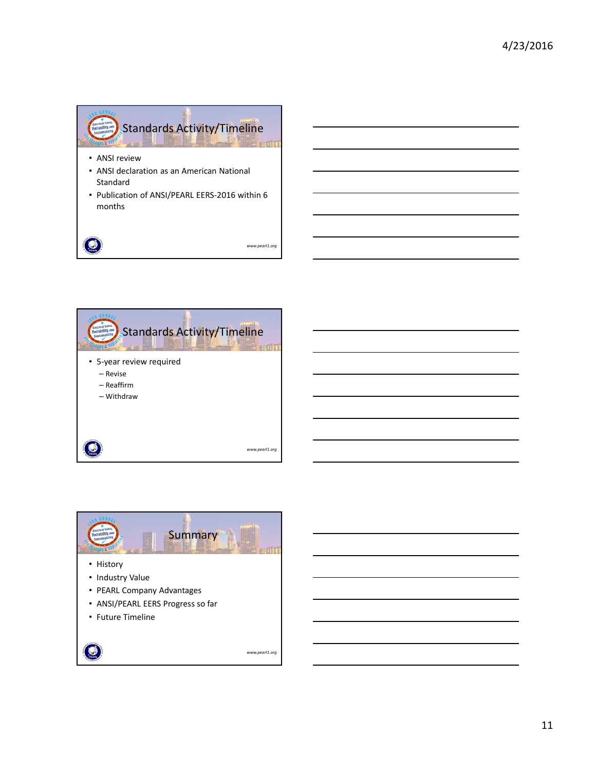![](_page_10_Figure_1.jpeg)

 $\odot$ 

![](_page_10_Picture_3.jpeg)

![](_page_10_Picture_4.jpeg)